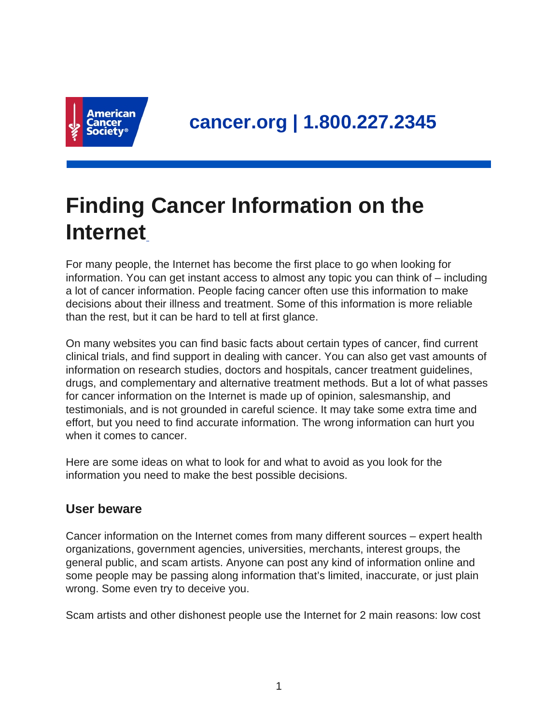

# **Finding Cancer Information on the Internet**

For many people, the Internet has become the first place to go when looking for information. You can get instant access to almost any topic you can think of – including a lot of cancer information. People facing cancer often use this information to make decisions about their illness and treatment. Some of this information is more reliable than the rest, but it can be hard to tell at first glance.

On many websites you can find basic facts about certain types of cancer, find current clinical trials, and find support in dealing with cancer. You can also get vast amounts of information on research studies, doctors and hospitals, cancer treatment guidelines, drugs, and complementary and alternative treatment methods. But a lot of what passes for cancer information on the Internet is made up of opinion, salesmanship, and testimonials, and is not grounded in careful science. It may take some extra time and effort, but you need to find accurate information. The wrong information can hurt you when it comes to cancer.

Here are some ideas on what to look for and what to avoid as you look for the information you need to make the best possible decisions.

## **User beware**

Cancer information on the Internet comes from many different sources – expert health organizations, government agencies, universities, merchants, interest groups, the general public, and scam artists. Anyone can post any kind of information online and some people may be passing along information that's limited, inaccurate, or just plain wrong. Some even try to deceive you.

Scam artists and other dishonest people use the Internet for 2 main reasons: low cost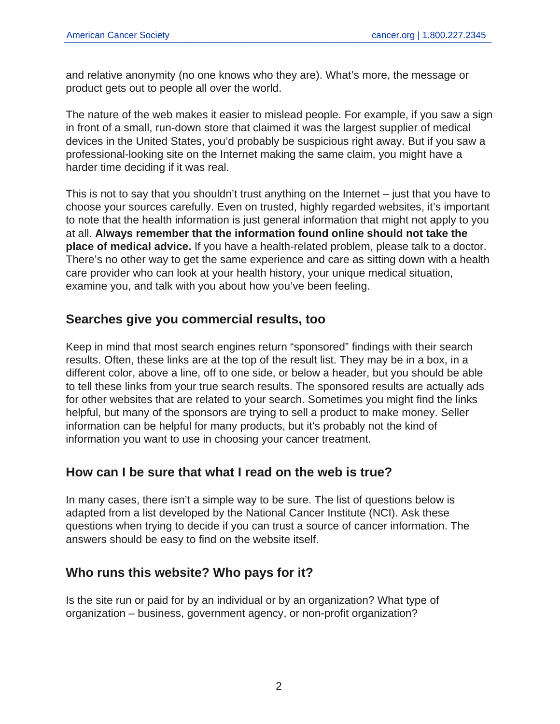and relative anonymity (no one knows who they are). What's more, the message or product gets out to people all over the world.

The nature of the web makes it easier to mislead people. For example, if you saw a sign in front of a small, run-down store that claimed it was the largest supplier of medical devices in the United States, you'd probably be suspicious right away. But if you saw a professional-looking site on the Internet making the same claim, you might have a harder time deciding if it was real.

This is not to say that you shouldn't trust anything on the Internet – just that you have to choose your sources carefully. Even on trusted, highly regarded websites, it's important to note that the health information is just general information that might not apply to you at all. **Always remember that the information found online should not take the place of medical advice.** If you have a health-related problem, please talk to a doctor. There's no other way to get the same experience and care as sitting down with a health care provider who can look at your health history, your unique medical situation, examine you, and talk with you about how you've been feeling.

## **Searches give you commercial results, too**

Keep in mind that most search engines return "sponsored" findings with their search results. Often, these links are at the top of the result list. They may be in a box, in a different color, above a line, off to one side, or below a header, but you should be able to tell these links from your true search results. The sponsored results are actually ads for other websites that are related to your search. Sometimes you might find the links helpful, but many of the sponsors are trying to sell a product to make money. Seller information can be helpful for many products, but it's probably not the kind of information you want to use in choosing your cancer treatment.

## **How can I be sure that what I read on the web is true?**

In many cases, there isn't a simple way to be sure. The list of questions below is adapted from a list developed by the National Cancer Institute (NCI). Ask these questions when trying to decide if you can trust a source of cancer information. The answers should be easy to find on the website itself.

## **Who runs this website? Who pays for it?**

Is the site run or paid for by an individual or by an organization? What type of organization – business, government agency, or non-profit organization?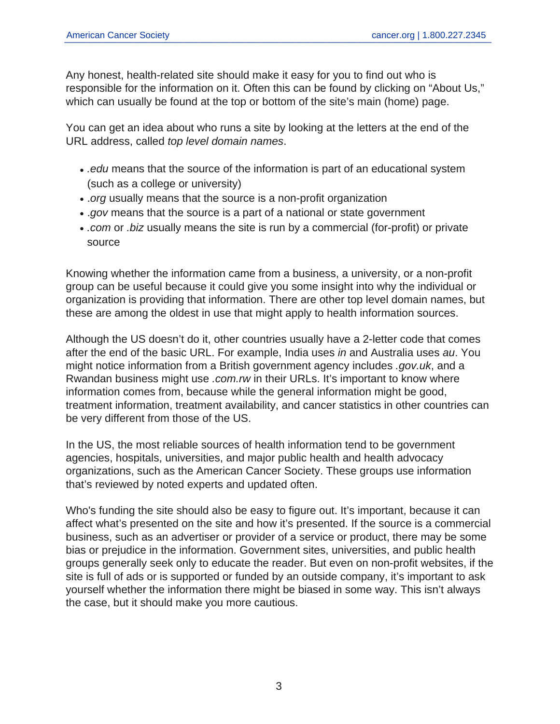Any honest, health-related site should make it easy for you to find out who is responsible for the information on it. Often this can be found by clicking on "About Us," which can usually be found at the top or bottom of the site's main (home) page.

You can get an idea about who runs a site by looking at the letters at the end of the URL address, called top level domain names.

- edu means that the source of the information is part of an educational system (such as a college or university)
- .org usually means that the source is a non-profit organization
- .gov means that the source is a part of a national or state government
- . com or .biz usually means the site is run by a commercial (for-profit) or private source

Knowing whether the information came from a business, a university, or a non-profit group can be useful because it could give you some insight into why the individual or organization is providing that information. There are other top level domain names, but these are among the oldest in use that might apply to health information sources.

Although the US doesn't do it, other countries usually have a 2-letter code that comes after the end of the basic URL. For example, India uses in and Australia uses au. You might notice information from a British government agency includes .gov.uk, and a Rwandan business might use .com.rw in their URLs. It's important to know where information comes from, because while the general information might be good, treatment information, treatment availability, and cancer statistics in other countries can be very different from those of the US.

In the US, the most reliable sources of health information tend to be government agencies, hospitals, universities, and major public health and health advocacy organizations, such as the American Cancer Society. These groups use information that's reviewed by noted experts and updated often.

Who's funding the site should also be easy to figure out. It's important, because it can affect what's presented on the site and how it's presented. If the source is a commercial business, such as an advertiser or provider of a service or product, there may be some bias or prejudice in the information. Government sites, universities, and public health groups generally seek only to educate the reader. But even on non-profit websites, if the site is full of ads or is supported or funded by an outside company, it's important to ask yourself whether the information there might be biased in some way. This isn't always the case, but it should make you more cautious.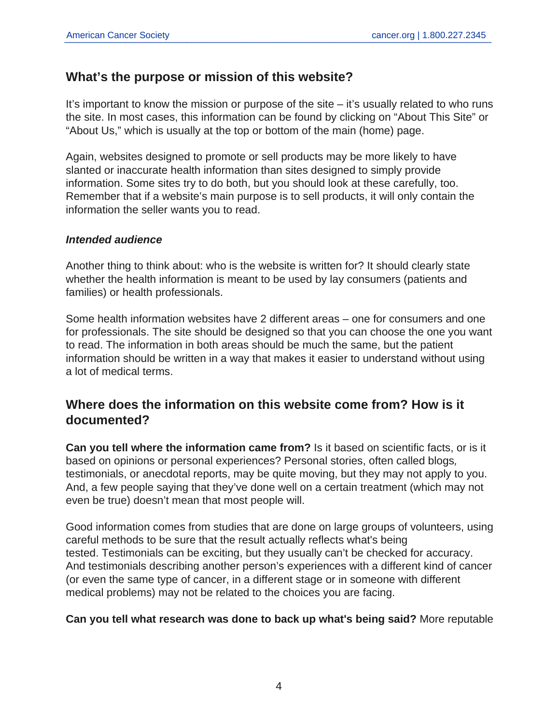## **What's the purpose or mission of this website?**

It's important to know the mission or purpose of the site – it's usually related to who runs the site. In most cases, this information can be found by clicking on "About This Site" or "About Us," which is usually at the top or bottom of the main (home) page.

Again, websites designed to promote or sell products may be more likely to have slanted or inaccurate health information than sites designed to simply provide information. Some sites try to do both, but you should look at these carefully, too. Remember that if a website's main purpose is to sell products, it will only contain the information the seller wants you to read.

#### **Intended audience**

Another thing to think about: who is the website is written for? It should clearly state whether the health information is meant to be used by lay consumers (patients and families) or health professionals.

Some health information websites have 2 different areas – one for consumers and one for professionals. The site should be designed so that you can choose the one you want to read. The information in both areas should be much the same, but the patient information should be written in a way that makes it easier to understand without using a lot of medical terms.

## **Where does the information on this website come from? How is it documented?**

**Can you tell where the information came from?** Is it based on scientific facts, or is it based on opinions or personal experiences? Personal stories, often called blogs, testimonials, or anecdotal reports, may be quite moving, but they may not apply to you. And, a few people saying that they've done well on a certain treatment (which may not even be true) doesn't mean that most people will.

Good information comes from studies that are done on large groups of volunteers, using careful methods to be sure that the result actually reflects what's being tested. Testimonials can be exciting, but they usually can't be checked for accuracy. And testimonials describing another person's experiences with a different kind of cancer (or even the same type of cancer, in a different stage or in someone with different medical problems) may not be related to the choices you are facing.

**Can you tell what research was done to back up what's being said?** More reputable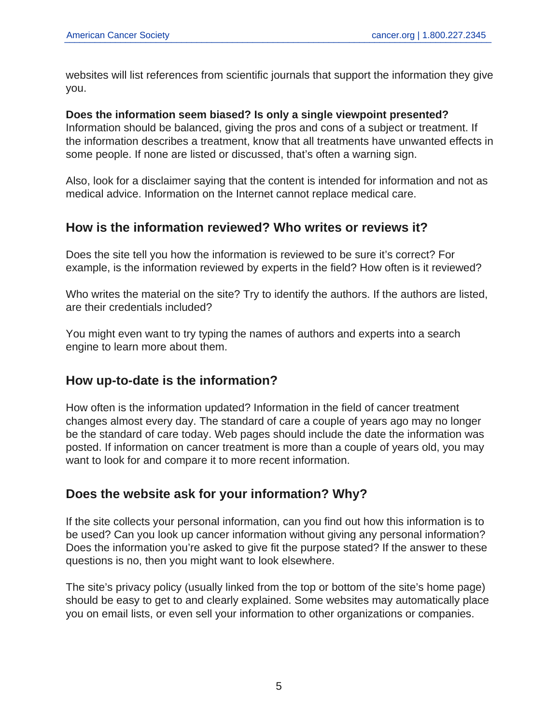websites will list references from scientific journals that support the information they give you.

#### **Does the information seem biased? Is only a single viewpoint presented?**

Information should be balanced, giving the pros and cons of a subject or treatment. If the information describes a treatment, know that all treatments have unwanted effects in some people. If none are listed or discussed, that's often a warning sign.

Also, look for a disclaimer saying that the content is intended for information and not as medical advice. Information on the Internet cannot replace medical care.

## **How is the information reviewed? Who writes or reviews it?**

Does the site tell you how the information is reviewed to be sure it's correct? For example, is the information reviewed by experts in the field? How often is it reviewed?

Who writes the material on the site? Try to identify the authors. If the authors are listed, are their credentials included?

You might even want to try typing the names of authors and experts into a search engine to learn more about them.

## **How up-to-date is the information?**

How often is the information updated? Information in the field of cancer treatment changes almost every day. The standard of care a couple of years ago may no longer be the standard of care today. Web pages should include the date the information was posted. If information on cancer treatment is more than a couple of years old, you may want to look for and compare it to more recent information.

## **Does the website ask for your information? Why?**

If the site collects your personal information, can you find out how this information is to be used? Can you look up cancer information without giving any personal information? Does the information you're asked to give fit the purpose stated? If the answer to these questions is no, then you might want to look elsewhere.

The site's privacy policy (usually linked from the top or bottom of the site's home page) should be easy to get to and clearly explained. Some websites may automatically place you on email lists, or even sell your information to other organizations or companies.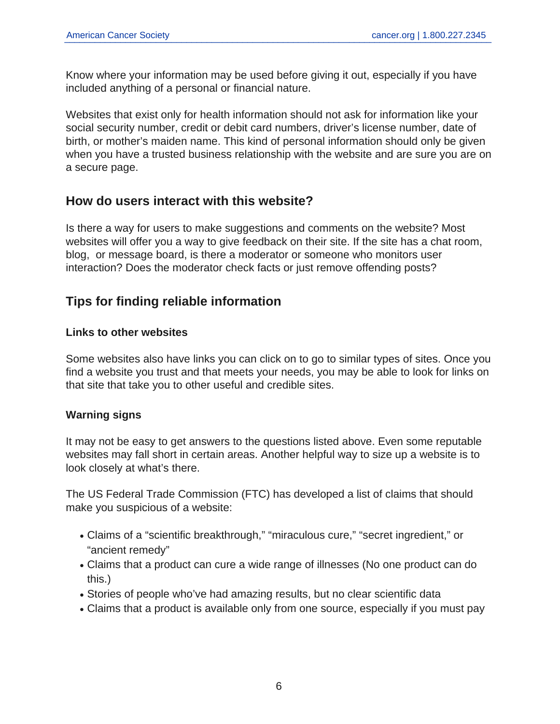Know where your information may be used before giving it out, especially if you have included anything of a personal or financial nature.

Websites that exist only for health information should not ask for information like your social security number, credit or debit card numbers, driver's license number, date of birth, or mother's maiden name. This kind of personal information should only be given when you have a trusted business relationship with the website and are sure you are on a secure page.

## **How do users interact with this website?**

Is there a way for users to make suggestions and comments on the website? Most websites will offer you a way to give feedback on their site. If the site has a chat room, blog, or message board, is there a moderator or someone who monitors user interaction? Does the moderator check facts or just remove offending posts?

## **Tips for finding reliable information**

#### **Links to other websites**

Some websites also have links you can click on to go to similar types of sites. Once you find a website you trust and that meets your needs, you may be able to look for links on that site that take you to other useful and credible sites.

#### **Warning signs**

It may not be easy to get answers to the questions listed above. Even some reputable websites may fall short in certain areas. Another helpful way to size up a website is to look closely at what's there.

The US Federal Trade Commission (FTC) has developed a list of claims that should make you suspicious of a website:

- Claims of a "scientific breakthrough," "miraculous cure," "secret ingredient," or "ancient remedy"
- Claims that a product can cure a wide range of illnesses (No one product can do this.)
- Stories of people who've had amazing results, but no clear scientific data
- Claims that a product is available only from one source, especially if you must pay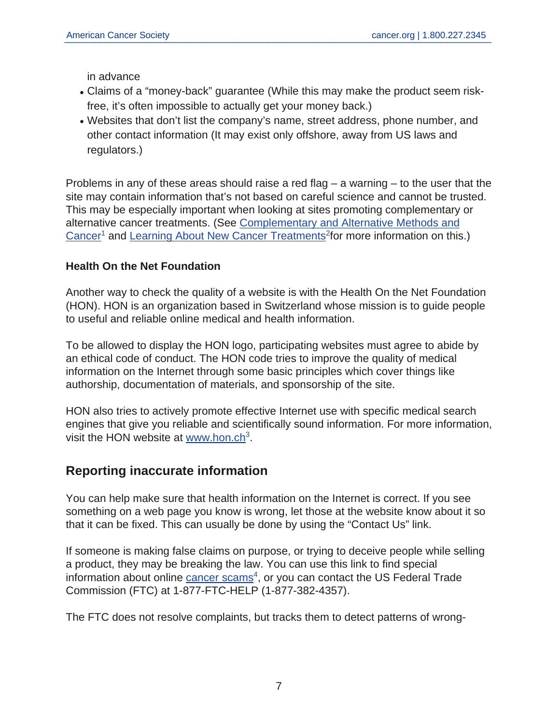in advance

- Claims of a "money-back" guarantee (While this may make the product seem riskfree, it's often impossible to actually get your money back.)
- Websites that don't list the company's name, street address, phone number, and other contact information (It may exist only offshore, away from US laws and regulators.)

Problems in any of these areas should raise a red flag – a warning – to the user that the site may contain information that's not based on careful science and cannot be trusted. This may be especially important when looking at sites promoting complementary or alternative cancer treatments. (See [Complementary and Alternative Methods and](https://www.cancer.org/treatment/treatments-and-side-effects/treatment-types/complementary-and-integrative-medicine/complementary-and-alternative-methods-and-cancer.html) [Cancer](https://www.cancer.org/treatment/treatments-and-side-effects/treatment-types/complementary-and-integrative-medicine/complementary-and-alternative-methods-and-cancer.html)<sup>1</sup> and [Learning About New Cancer Treatments](https://www.cancer.org/treatment/treatments-and-side-effects/how-to-interpret-news-about-new-cancer-treatments.html)<sup>2</sup> for more information on this.)

#### **Health On the Net Foundation**

Another way to check the quality of a website is with the Health On the Net Foundation (HON). HON is an organization based in Switzerland whose mission is to guide people to useful and reliable online medical and health information.

To be allowed to display the HON logo, participating websites must agree to abide by an ethical code of conduct. The HON code tries to improve the quality of medical information on the Internet through some basic principles which cover things like authorship, documentation of materials, and sponsorship of the site.

HON also tries to actively promote effective Internet use with specific medical search engines that give you reliable and scientifically sound information. For more information, visit the HON website at [www.hon.ch](http://www.hon.ch)<sup>3</sup>.

## **Reporting inaccurate information**

You can help make sure that health information on the Internet is correct. If you see something on a web page you know is wrong, let those at the website know about it so that it can be fixed. This can usually be done by using the "Contact Us" link.

If someone is making false claims on purpose, or trying to deceive people while selling a product, they may be breaking the law. You can use this link to find special information about online [cancer scams](http://www.consumer.ftc.gov/articles/common-health-scams)<sup>4</sup>, or you can contact the US Federal Trade Commission (FTC) at 1-877-FTC-HELP (1-877-382-4357).

The FTC does not resolve complaints, but tracks them to detect patterns of wrong-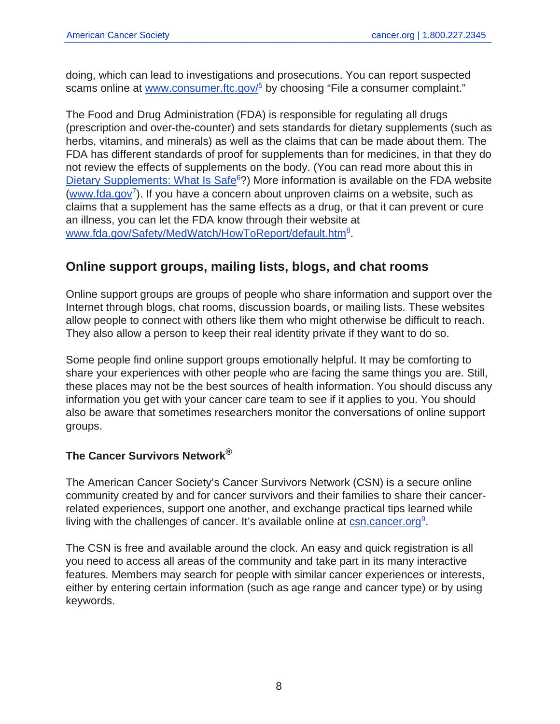doing, which can lead to investigations and prosecutions. You can report suspected scams online at [www.consumer.ftc.gov/](https://www.consumer.ftc.gov/)<sup>5</sup> by choosing "File a consumer complaint."

The Food and Drug Administration (FDA) is responsible for regulating all drugs (prescription and over-the-counter) and sets standards for dietary supplements (such as herbs, vitamins, and minerals) as well as the claims that can be made about them. The FDA has different standards of proof for supplements than for medicines, in that they do not review the effects of supplements on the body. (You can read more about this in [Dietary Supplements: What Is Safe](https://www.cancer.org/treatment/treatments-and-side-effects/treatment-types/complementary-and-integrative-medicine/dietary-supplements.html)<sup>6</sup>?) More information is available on the FDA website ([www.fda.gov](http://www.fda.gov/)<sup>7</sup>). If you have a concern about unproven claims on a website, such as claims that a supplement has the same effects as a drug, or that it can prevent or cure an illness, you can let the FDA know through their website at [www.fda.gov/Safety/MedWatch/HowToReport/default.htm](http://www.fda.gov/Safety/MedWatch/HowToReport/default.htm)<sup>8</sup>.

## **Online support groups, mailing lists, blogs, and chat rooms**

Online support groups are groups of people who share information and support over the Internet through blogs, chat rooms, discussion boards, or mailing lists. These websites allow people to connect with others like them who might otherwise be difficult to reach. They also allow a person to keep their real identity private if they want to do so.

Some people find online support groups emotionally helpful. It may be comforting to share your experiences with other people who are facing the same things you are. Still, these places may not be the best sources of health information. You should discuss any information you get with your cancer care team to see if it applies to you. You should also be aware that sometimes researchers monitor the conversations of online support groups.

#### **The Cancer Survivors Network®**

The American Cancer Society's Cancer Survivors Network (CSN) is a secure online community created by and for cancer survivors and their families to share their cancerrelated experiences, support one another, and exchange practical tips learned while living with the challenges of cancer. It's available online at **[csn.cancer.org](http://csn.cancer.org/)**<sup>9</sup>.

The CSN is free and available around the clock. An easy and quick registration is all you need to access all areas of the community and take part in its many interactive features. Members may search for people with similar cancer experiences or interests, either by entering certain information (such as age range and cancer type) or by using keywords.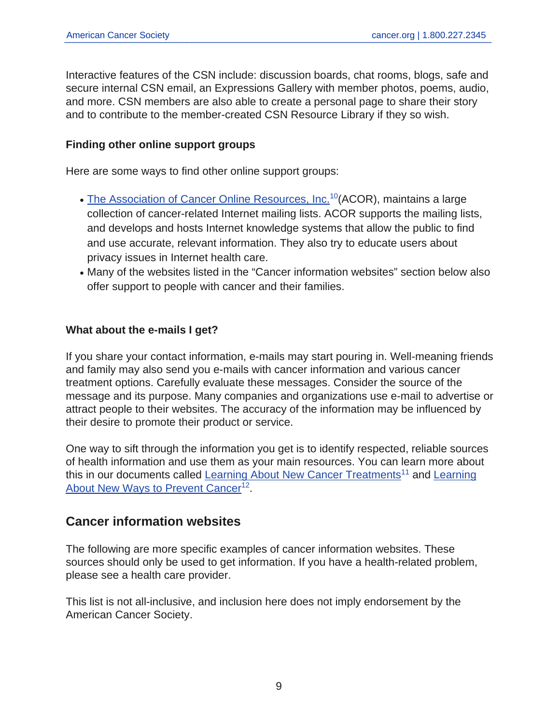Interactive features of the CSN include: discussion boards, chat rooms, blogs, safe and secure internal CSN email, an Expressions Gallery with member photos, poems, audio, and more. CSN members are also able to create a personal page to share their story and to contribute to the member-created CSN Resource Library if they so wish.

#### **Finding other online support groups**

Here are some ways to find other online support groups:

- [The Association of Cancer Online Resources, Inc.](https://listserv.acor.org/scripts/wa-ACOR.exe?INDEX)<sup>10</sup>(ACOR), maintains a large collection of cancer-related Internet mailing lists. ACOR supports the mailing lists, and develops and hosts Internet knowledge systems that allow the public to find and use accurate, relevant information. They also try to educate users about privacy issues in Internet health care.
- Many of the websites listed in the "Cancer information websites" section below also offer support to people with cancer and their families.

#### **What about the e-mails I get?**

If you share your contact information, e-mails may start pouring in. Well-meaning friends and family may also send you e-mails with cancer information and various cancer treatment options. Carefully evaluate these messages. Consider the source of the message and its purpose. Many companies and organizations use e-mail to advertise or attract people to their websites. The accuracy of the information may be influenced by their desire to promote their product or service.

One way to sift through the information you get is to identify respected, reliable sources of health information and use them as your main resources. You can learn more about this in our documents called [Learning About New Cancer Treatments](https://www.cancer.org/treatment/treatments-and-side-effects/how-to-interpret-news-about-new-cancer-treatments.html)<sup>11</sup> and [Learning](https://www.cancer.org/healthy/cancer-facts/how-to-interpret-news-about-ways-to-prevent-cancer.html) [About New Ways to Prevent Cancer](https://www.cancer.org/healthy/cancer-facts/how-to-interpret-news-about-ways-to-prevent-cancer.html)<sup>12</sup>.

## **Cancer information websites**

The following are more specific examples of cancer information websites. These sources should only be used to get information. If you have a health-related problem, please see a health care provider.

This list is not all-inclusive, and inclusion here does not imply endorsement by the American Cancer Society.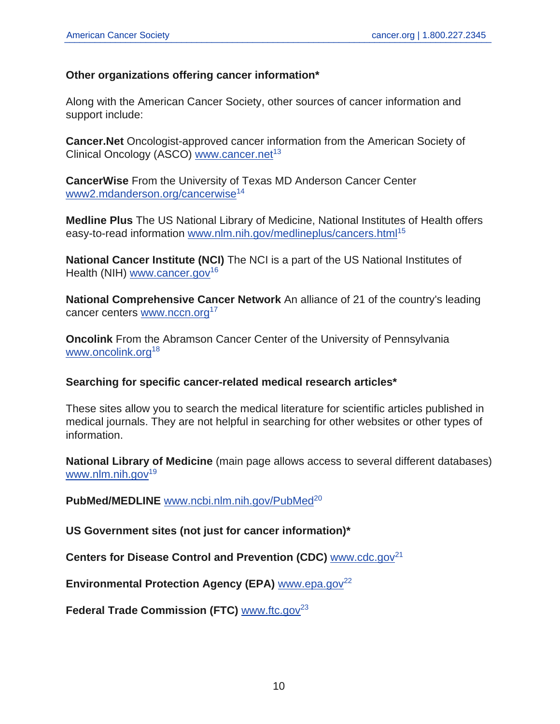#### **Other organizations offering cancer information\***

Along with the American Cancer Society, other sources of cancer information and support include:

**Cancer.Net** Oncologist-approved cancer information from the American Society of Clinical Oncology (ASCO) [www.cancer.net](http://www.cancer.net/)<sup>13</sup>

**CancerWise** From the University of Texas MD Anderson Cancer Center [www2.mdanderson.org/cancerwise](http://www2.mdanderson.org/cancerwise/)<sup>14</sup>

**Medline Plus** The US National Library of Medicine, National Institutes of Health offers easy-to-read information [www.nlm.nih.gov/medlineplus/cancers.html](https://medlineplus.gov/cancers.html)<sup>15</sup>

**National Cancer Institute (NCI)** The NCI is a part of the US National Institutes of Health (NIH) [www.cancer.gov](http://www.cancer.gov/)<sup>16</sup>

**National Comprehensive Cancer Network** An alliance of 21 of the country's leading cancer centers [www.nccn.org](https://www.nccn.org/)<sup>17</sup>

**Oncolink** From the Abramson Cancer Center of the University of Pennsylvania [www.oncolink.org](http://www.oncolink.org/)<sup>18</sup>

#### **Searching for specific cancer-related medical research articles\***

These sites allow you to search the medical literature for scientific articles published in medical journals. They are not helpful in searching for other websites or other types of information.

**National Library of Medicine** (main page allows access to several different databases) [www.nlm.nih.gov](https://www.nlm.nih.gov/) $19$ 

PubMed/MEDLINE [www.ncbi.nlm.nih.gov/PubMed](http://www.ncbi.nlm.nih.gov/PubMed)<sup>20</sup>

**US Government sites (not just for cancer information)\***

**Centers for Disease Control and Prevention (CDC)** [www.cdc.gov](http://www.cdc.gov/)<sup>21</sup>

**Environmental Protection Agency (EPA)** [www.epa.gov](https://www.epa.gov/)<sup>22</sup>

**Federal Trade Commission (FTC)** [www.ftc.gov](https://www.ftc.gov/)<sup>23</sup>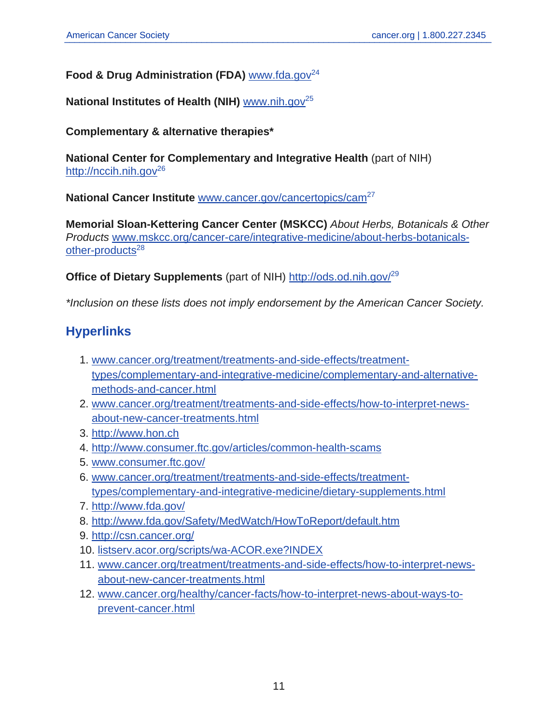### **Food & Drug Administration (FDA)** [www.fda.gov](http://www.fda.gov)<sup>24</sup>

### **National Institutes of Health (NIH)** [www.nih.gov](http://www.nih.gov)<sup>25</sup>

#### **Complementary & alternative therapies\***

**National Center for Complementary and Integrative Health** (part of NIH) [http://nccih.nih.gov](https://nccih.nih.gov)<sup>26</sup>

**National Cancer Institute** [www.cancer.gov/cancertopics/cam](http://www.cancer.gov/cancertopics/cam)<sup>27</sup>

**Memorial Sloan-Kettering Cancer Center (MSKCC)** About Herbs, Botanicals & Other Products [www.mskcc.org/cancer-care/integrative-medicine/about-herbs-botanicals](http://www.mskcc.org/cancer-care/integrative-medicine/about-herbs-botanicals-other-products)[other-products](http://www.mskcc.org/cancer-care/integrative-medicine/about-herbs-botanicals-other-products)<sup>28</sup>

**Office of Dietary Supplements** (part of NIH) <http://ods.od.nih.gov/><sup>29</sup>

\*Inclusion on these lists does not imply endorsement by the American Cancer Society.

## **Hyperlinks**

- 1. [www.cancer.org/treatment/treatments-and-side-effects/treatment](https://www.cancer.org/treatment/treatments-and-side-effects/treatment-types/complementary-and-integrative-medicine/complementary-and-alternative-methods-and-cancer.html)[types/complementary-and-integrative-medicine/complementary-and-alternative](https://www.cancer.org/treatment/treatments-and-side-effects/treatment-types/complementary-and-integrative-medicine/complementary-and-alternative-methods-and-cancer.html)[methods-and-cancer.html](https://www.cancer.org/treatment/treatments-and-side-effects/treatment-types/complementary-and-integrative-medicine/complementary-and-alternative-methods-and-cancer.html)
- 2. [www.cancer.org/treatment/treatments-and-side-effects/how-to-interpret-news](https://www.cancer.org/treatment/treatments-and-side-effects/how-to-interpret-news-about-new-cancer-treatments.html)[about-new-cancer-treatments.html](https://www.cancer.org/treatment/treatments-and-side-effects/how-to-interpret-news-about-new-cancer-treatments.html)
- 3. <http://www.hon.ch>
- 4. <http://www.consumer.ftc.gov/articles/common-health-scams>
- 5. [www.consumer.ftc.gov/](https://www.consumer.ftc.gov/)
- 6. [www.cancer.org/treatment/treatments-and-side-effects/treatment](https://www.cancer.org/treatment/treatments-and-side-effects/treatment-types/complementary-and-integrative-medicine/dietary-supplements.html)[types/complementary-and-integrative-medicine/dietary-supplements.html](https://www.cancer.org/treatment/treatments-and-side-effects/treatment-types/complementary-and-integrative-medicine/dietary-supplements.html)
- 7. <http://www.fda.gov/>
- 8. <http://www.fda.gov/Safety/MedWatch/HowToReport/default.htm>
- 9. <http://csn.cancer.org/>
- 10. [listserv.acor.org/scripts/wa-ACOR.exe?INDEX](https://listserv.acor.org/scripts/wa-ACOR.exe?INDEX)
- 11. [www.cancer.org/treatment/treatments-and-side-effects/how-to-interpret-news](https://www.cancer.org/treatment/treatments-and-side-effects/how-to-interpret-news-about-new-cancer-treatments.html)[about-new-cancer-treatments.html](https://www.cancer.org/treatment/treatments-and-side-effects/how-to-interpret-news-about-new-cancer-treatments.html)
- 12. [www.cancer.org/healthy/cancer-facts/how-to-interpret-news-about-ways-to](https://www.cancer.org/healthy/cancer-facts/how-to-interpret-news-about-ways-to-prevent-cancer.html)[prevent-cancer.html](https://www.cancer.org/healthy/cancer-facts/how-to-interpret-news-about-ways-to-prevent-cancer.html)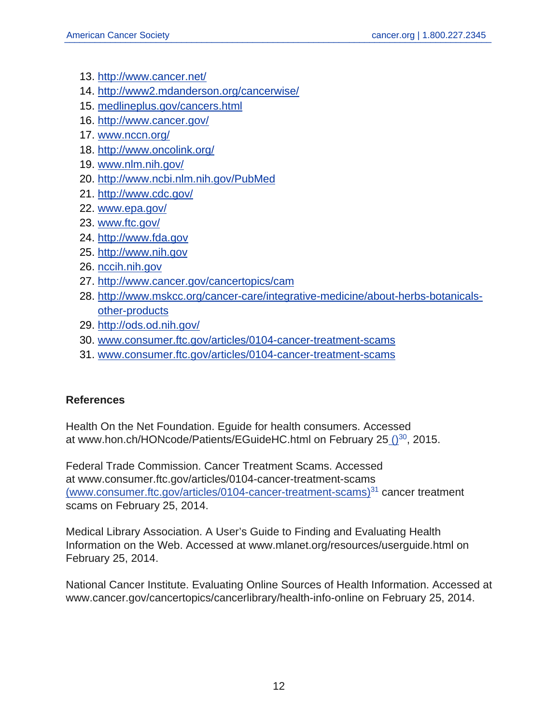- 13. <http://www.cancer.net/>
- 14. <http://www2.mdanderson.org/cancerwise/>
- 15. [medlineplus.gov/cancers.html](https://medlineplus.gov/cancers.html)
- 16. <http://www.cancer.gov/>
- 17. [www.nccn.org/](https://www.nccn.org/)
- 18. <http://www.oncolink.org/>
- 19. [www.nlm.nih.gov/](https://www.nlm.nih.gov/)
- 20. <http://www.ncbi.nlm.nih.gov/PubMed>
- 21. <http://www.cdc.gov/>
- 22. [www.epa.gov/](https://www.epa.gov/)
- 23. [www.ftc.gov/](https://www.ftc.gov/)
- 24. <http://www.fda.gov>
- 25. <http://www.nih.gov>
- 26. [nccih.nih.gov](https://nccih.nih.gov)
- 27. <http://www.cancer.gov/cancertopics/cam>
- 28. [http://www.mskcc.org/cancer-care/integrative-medicine/about-herbs-botanicals](http://www.mskcc.org/cancer-care/integrative-medicine/about-herbs-botanicals-other-products)[other-products](http://www.mskcc.org/cancer-care/integrative-medicine/about-herbs-botanicals-other-products)
- 29. <http://ods.od.nih.gov/>
- 30. [www.consumer.ftc.gov/articles/0104-cancer-treatment-scams](https://www.consumer.ftc.gov/articles/0104-cancer-treatment-scams)
- 31. [www.consumer.ftc.gov/articles/0104-cancer-treatment-scams](https://www.consumer.ftc.gov/articles/0104-cancer-treatment-scams)

#### **References**

Health On the Net Foundation. Eguide for health consumers. Accessed at www.hon.ch/HONcode/Patients/EGuideHC.html on February 25 ()<sup>30</sup>, 2015.

Federal Trade Commission. Cancer Treatment Scams. Accessed at www.consumer.ftc.gov/articles/0104-cancer-treatment-scams [\(www.consumer.ftc.gov/articles/0104-cancer-treatment-scams\)](https://www.consumer.ftc.gov/articles/0104-cancer-treatment-scams)<sup>31</sup> cancer treatment scams on February 25, 2014.

Medical Library Association. A User's Guide to Finding and Evaluating Health Information on the Web. Accessed at www.mlanet.org/resources/userguide.html on February 25, 2014.

National Cancer Institute. Evaluating Online Sources of Health Information. Accessed at www.cancer.gov/cancertopics/cancerlibrary/health-info-online on February 25, 2014.